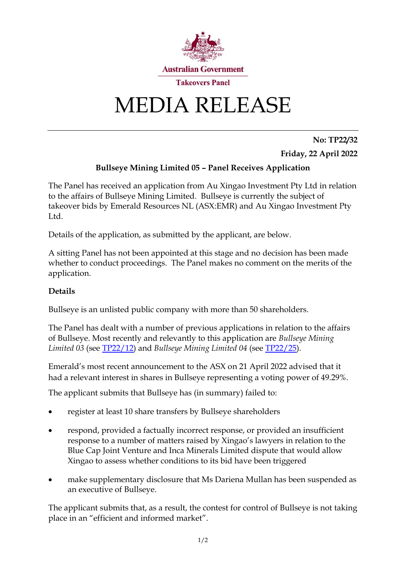

## MEDIA RELEASE

**No: TP22/32 Friday, 22 April 2022**

## **Bullseye Mining Limited 05 – Panel Receives Application**

The Panel has received an application from Au Xingao Investment Pty Ltd in relation to the affairs of Bullseye Mining Limited. Bullseye is currently the subject of takeover bids by Emerald Resources NL (ASX:EMR) and Au Xingao Investment Pty Ltd.

Details of the application, as submitted by the applicant, are below.

A sitting Panel has not been appointed at this stage and no decision has been made whether to conduct proceedings. The Panel makes no comment on the merits of the application.

## **Details**

Bullseye is an unlisted public company with more than 50 shareholders.

The Panel has dealt with a number of previous applications in relation to the affairs of Bullseye. Most recently and relevantly to this application are *Bullseye Mining Limited 03* (see [TP22/12\)](https://www.takeovers.gov.au/content/DisplayDoc.aspx?doc=media_releases/2022/012.htm&pageID=&Year=) and *Bullseye Mining Limited 04* (see [TP22/25\)](https://www.takeovers.gov.au/content/DisplayDoc.aspx?doc=media_releases/2022/025.htm&pageID=&Year=).

Emerald's most recent announcement to the ASX on 21 April 2022 advised that it had a relevant interest in shares in Bullseye representing a voting power of 49.29%.

The applicant submits that Bullseye has (in summary) failed to:

- register at least 10 share transfers by Bullseye shareholders
- respond, provided a factually incorrect response, or provided an insufficient response to a number of matters raised by Xingao's lawyers in relation to the Blue Cap Joint Venture and Inca Minerals Limited dispute that would allow Xingao to assess whether conditions to its bid have been triggered
- make supplementary disclosure that Ms Dariena Mullan has been suspended as an executive of Bullseye.

The applicant submits that, as a result, the contest for control of Bullseye is not taking place in an "efficient and informed market".